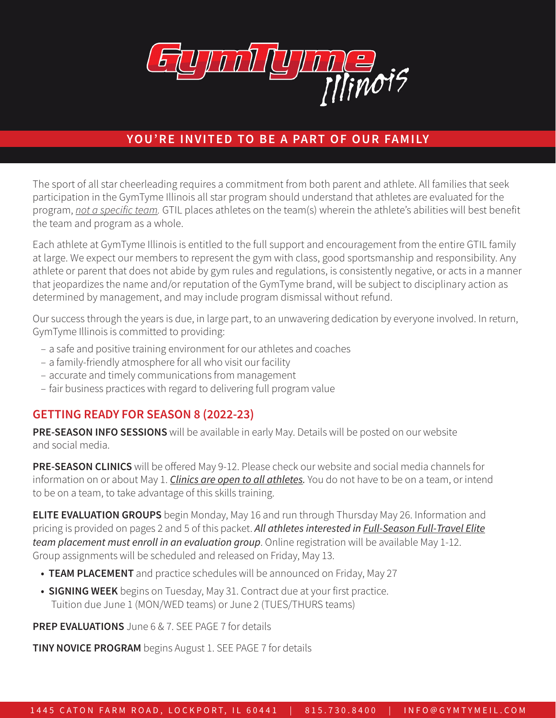

## YOU'RE INVITED TO BE A PART OF OUR FAMILY

The sport of all star cheerleading requires a commitment from both parent and athlete. All families that seek participation in the GymTyme Illinois all star program should understand that athletes are evaluated for the program, *not a specific team.* GTIL places athletes on the team(s) wherein the athlete's abilities will best benefit the team and program as a whole.

Each athlete at GymTyme Illinois is entitled to the full support and encouragement from the entire GTIL family at large. We expect our members to represent the gym with class, good sportsmanship and responsibility. Any athlete or parent that does not abide by gym rules and regulations, is consistently negative, or acts in a manner that jeopardizes the name and/or reputation of the GymTyme brand, will be subject to disciplinary action as determined by management, and may include program dismissal without refund.

Our success through the years is due, in large part, to an unwavering dedication by everyone involved. In return, GymTyme Illinois is committed to providing:

- a safe and positive training environment for our athletes and coaches
- a family-friendly atmosphere for all who visit our facility
- accurate and timely communications from management
- fair business practices with regard to delivering full program value

## GETTING READY FOR SEASON 8 (2022-23)

**PRE-SEASON INFO SESSIONS** will be available in early May. Details will be posted on our website and social media.

PRE-SEASON CLINICS will be offered May 9-12. Please check our website and social media channels for information on or about May 1. *Clinics are open to all athletes.* You do not have to be on a team, or intend to be on a team, to take advantage of this skills training.

**ELITE EVALUATION GROUPS** begin Monday, May 16 and run through Thursday May 26. Information and pricing is provided on pages 2 and 5 of this packet. *All athletes interested in Full-Season Full-Travel Elite team placement must enroll in an evaluation group*. Online registration will be available May 1-12. Group assignments will be scheduled and released on Friday, May 13.

- TEAM PLACEMENT and practice schedules will be announced on Friday, May 27
- SIGNING WEEK begins on Tuesday, May 31. Contract due at your first practice. Tuition due June 1 (MON/WED teams) or June 2 (TUES/THURS teams)

**PREP EVALUATIONS** June 6 & 7. SEE PAGE 7 for details

**TINY NOVICE PROGRAM** begins August 1. SEE PAGE 7 for details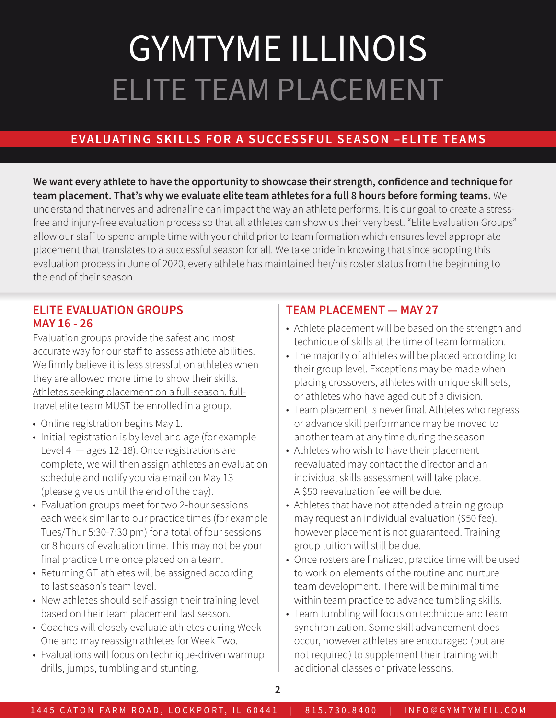# GYMTYME ILLINOIS ELITE TEAM PLACEMENT

## EVALUATING SKILLS FOR A SUCCESSFUL SEASON –ELITE TEAMS

We want every athlete to have the opportunity to showcase their strength, confidence and technique for team placement. That's why we evaluate elite team athletes for a full 8 hours before forming teams. We understand that nerves and adrenaline can impact the way an athlete performs. It is our goal to create a stressfree and injury-free evaluation process so that all athletes can show us their very best. "Elite Evaluation Groups" allow our staff to spend ample time with your child prior to team formation which ensures level appropriate placement that translates to a successful season for all. We take pride in knowing that since adopting this evaluation process in June of 2020, every athlete has maintained her/his roster status from the beginning to the end of their season.

#### ELITE EVALUATION GROUPS MAY 16 - 26

Evaluation groups provide the safest and most accurate way for our staff to assess athlete abilities. We firmly believe it is less stressful on athletes when they are allowed more time to show their skills. Athletes seeking placement on a full-season, fulltravel elite team MUST be enrolled in a group.

- Online registration begins May 1.
- Initial registration is by level and age (for example Level 4 — ages 12-18). Once registrations are complete, we will then assign athletes an evaluation schedule and notify you via email on May 13 (please give us until the end of the day).
- Evaluation groups meet for two 2-hour sessions each week similar to our practice times (for example Tues/Thur 5:30-7:30 pm) for a total of four sessions or 8 hours of evaluation time. This may not be your final practice time once placed on a team.
- Returning GT athletes will be assigned according to last season's team level.
- New athletes should self-assign their training level based on their team placement last season.
- Coaches will closely evaluate athletes during Week One and may reassign athletes for Week Two.
- Evaluations will focus on technique-driven warmup drills, jumps, tumbling and stunting.

### TEAM PLACEMENT — MAY 27

- Athlete placement will be based on the strength and technique of skills at the time of team formation.
- The majority of athletes will be placed according to their group level. Exceptions may be made when placing crossovers, athletes with unique skill sets, or athletes who have aged out of a division.
- Team placement is never final. Athletes who regress or advance skill performance may be moved to another team at any time during the season.
- Athletes who wish to have their placement reevaluated may contact the director and an individual skills assessment will take place. A \$50 reevaluation fee will be due.
- Athletes that have not attended a training group may request an individual evaluation (\$50 fee). however placement is not guaranteed. Training group tuition will still be due.
- Once rosters are finalized, practice time will be used to work on elements of the routine and nurture team development. There will be minimal time within team practice to advance tumbling skills.
- Team tumbling will focus on technique and team synchronization. Some skill advancement does occur, however athletes are encouraged (but are not required) to supplement their training with additional classes or private lessons.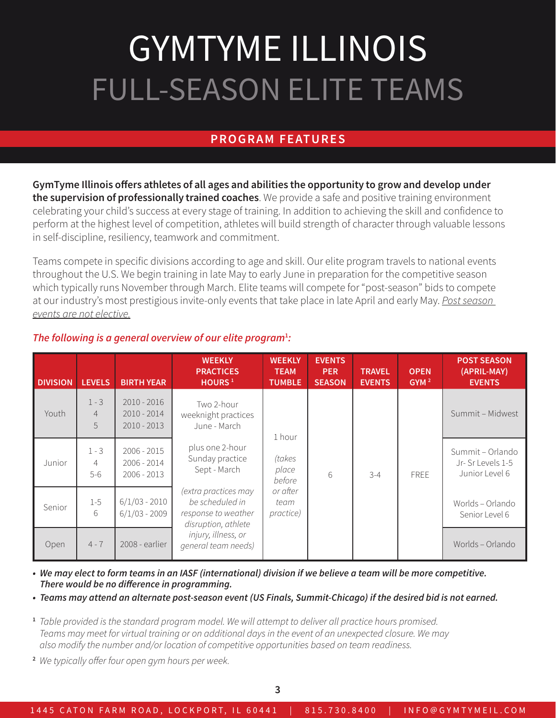# GYMTYME ILLINOIS FULL-SEASON ELITE TEAMS

### PROGRAM FEATURES

GymTyme Illinois offers athletes of all ages and abilities the opportunity to grow and develop under the supervision of professionally trained coaches. We provide a safe and positive training environment celebrating your child's success at every stage of training. In addition to achieving the skill and confidence to perform at the highest level of competition, athletes will build strength of character through valuable lessons in self-discipline, resiliency, teamwork and commitment.

Teams compete in specific divisions according to age and skill. Our elite program travels to national events throughout the U.S. We begin training in late May to early June in preparation for the competitive season which typically runs November through March. Elite teams will compete for "post-season" bids to compete at our industry's most prestigious invite-only events that take place in late April and early May. *Post season events are not elective.*

| <b>DIVISION</b> | <b>LEVELS</b>                      | <b>BIRTH YEAR</b>                               | <b>WEEKLY</b><br><b>PRACTICES</b><br>HOURS <sup>1</sup>                               | <b>WEEKLY</b><br><b>TEAM</b><br><b>TUMBLE</b> | <b>EVENTS</b><br><b>PER</b><br><b>SEASON</b> | <b>TRAVEL</b><br><b>EVENTS</b> | <b>OPEN</b><br>GYM <sup>2</sup> | <b>POST SEASON</b><br>(APRIL-MAY)<br><b>EVENTS</b>     |
|-----------------|------------------------------------|-------------------------------------------------|---------------------------------------------------------------------------------------|-----------------------------------------------|----------------------------------------------|--------------------------------|---------------------------------|--------------------------------------------------------|
| Youth           | $1 - 3$<br>$\overline{4}$<br>5     | $2010 - 2016$<br>$2010 - 2014$<br>$2010 - 2013$ | Two 2-hour<br>weeknight practices<br>June - March                                     | 1 hour                                        |                                              |                                |                                 | Summit - Midwest                                       |
| Junior          | $1 - 3$<br>$\overline{4}$<br>$5-6$ | $2006 - 2015$<br>$2006 - 2014$<br>$2006 - 2013$ | plus one 2-hour<br>Sunday practice<br>Sept - March                                    | (takes<br>place<br>before                     | 6                                            | $3 - 4$                        | <b>FREE</b>                     | Summit - Orlando<br>Jr-Sr Levels 1-5<br>Junior Level 6 |
| Senior          | $1 - 5$<br>6                       | $6/1/03 - 2010$<br>$6/1/03 - 2009$              | (extra practices may<br>be scheduled in<br>response to weather<br>disruption, athlete | or after<br>team<br>practice)                 |                                              |                                |                                 | Worlds – Orlando<br>Senior Level 6                     |
| Open            | $4 - 7$                            | 2008 - earlier                                  | injury, illness, or<br>general team needs)                                            |                                               |                                              |                                |                                 | Worlds – Orlando                                       |

#### The following is a general overview of our elite program<sup>1</sup>:

*• We may elect to form teams in an IASF (international) division if we believe a team will be more competitive. There would be no difference in programming.* 

*• Teams may attend an alternate post-season event (US Finals, Summit-Chicago) if the desired bid is not earned.*

- 1 *Table provided is the standard program model. We will attempt to deliver all practice hours promised. Teams may meet for virtual training or on additional days in the event of an unexpected closure. We may also modify the number and/or location of competitive opportunities based on team readiness.*
- 2 *We typically offer four open gym hours per week.*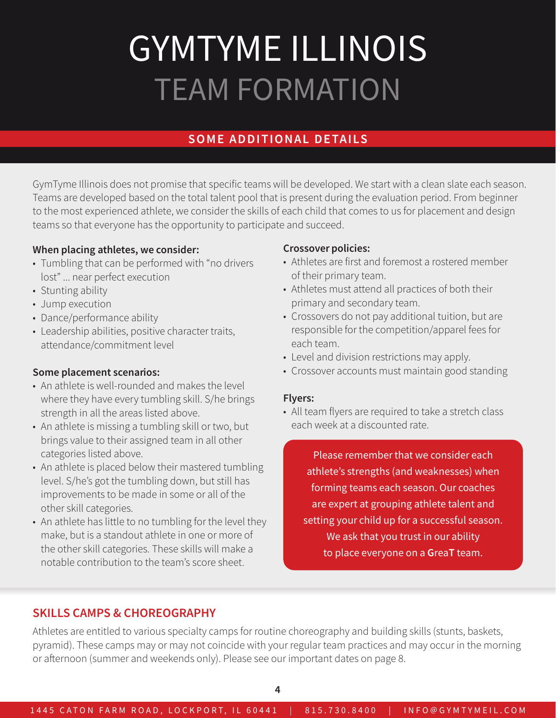# GYMTYME ILLINOIS TEAM FORMATION

## SOME ADDITIONAL DETAILS

GymTyme Illinois does not promise that specific teams will be developed. We start with a clean slate each season. Teams are developed based on the total talent pool that is present during the evaluation period. From beginner to the most experienced athlete, we consider the skills of each child that comes to us for placement and design teams so that everyone has the opportunity to participate and succeed.

#### When placing athletes, we consider:

- Tumbling that can be performed with "no drivers lost" ... near perfect execution
- Stunting ability
- Jump execution
- Dance/performance ability
- Leadership abilities, positive character traits, attendance/commitment level

#### Some placement scenarios:

- An athlete is well-rounded and makes the level where they have every tumbling skill. S/he brings strength in all the areas listed above.
- An athlete is missing a tumbling skill or two, but brings value to their assigned team in all other categories listed above.
- An athlete is placed below their mastered tumbling level. S/he's got the tumbling down, but still has improvements to be made in some or all of the other skill categories.
- An athlete has little to no tumbling for the level they make, but is a standout athlete in one or more of the other skill categories. These skills will make a notable contribution to the team's score sheet.

#### Crossover policies:

- Athletes are first and foremost a rostered member of their primary team.
- Athletes must attend all practices of both their primary and secondary team.
- Crossovers do not pay additional tuition, but are responsible for the competition/apparel fees for each team.
- Level and division restrictions may apply.
- Crossover accounts must maintain good standing

#### Flyers:

• All team flyers are required to take a stretch class each week at a discounted rate.

Please remember that we consider each athlete's strengths (and weaknesses) when forming teams each season. Our coaches are expert at grouping athlete talent and setting your child up for a successful season. We ask that you trust in our ability to place everyone on a GreaT team.

### SKILLS CAMPS & CHOREOGRAPHY

Athletes are entitled to various specialty camps for routine choreography and building skills (stunts, baskets, pyramid). These camps may or may not coincide with your regular team practices and may occur in the morning or afternoon (summer and weekends only). Please see our important dates on page 8.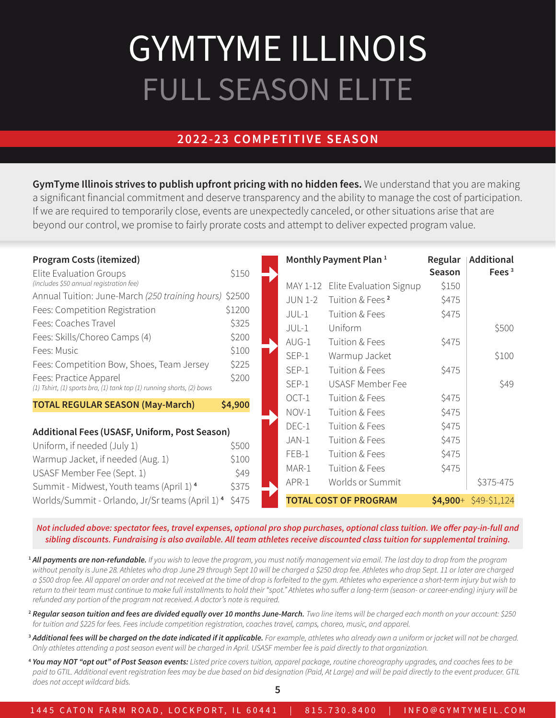# GYMTYME ILLINOIS FULL SEASON ELITE

## 2022-23 COMPETITIVE SEASON

GymTyme Illinois strives to publish upfront pricing with no hidden fees. We understand that you are making a significant financial commitment and deserve transparency and the ability to manage the cost of participation. If we are required to temporarily close, events are unexpectedly canceled, or other situations arise that are beyond our control, we promise to fairly prorate costs and attempt to deliver expected program value.

| <b>Program Costs (itemized)</b><br>Elite Evaluation Groups                                      | \$150   |                | Monthly Payment Plan <sup>1</sup> | Regular<br>Season | <b>Additional</b><br>Fees $3$ |
|-------------------------------------------------------------------------------------------------|---------|----------------|-----------------------------------|-------------------|-------------------------------|
| (includes \$50 annual registration fee)                                                         |         | MAY 1-12       | Elite Evaluation Signup           | \$150             |                               |
| Annual Tuition: June-March (250 training hours) \$2500                                          |         | <b>JUN 1-2</b> | Tuition & Fees <sup>2</sup>       | \$475             |                               |
| Fees: Competition Registration                                                                  | \$1200  | JUL-1          | Tuition & Fees                    | \$475             |                               |
| Fees: Coaches Travel                                                                            | \$325   | JUL-1          | Uniform                           |                   | \$500                         |
| Fees: Skills/Choreo Camps (4)                                                                   | \$200   | $AUG-1$        | Tuition & Fees                    | \$475             |                               |
| Fees: Music                                                                                     | \$100   | SEP-1          | Warmup Jacket                     |                   | \$100                         |
| Fees: Competition Bow, Shoes, Team Jersey                                                       | \$225   | SEP-1          | Tuition & Fees                    | \$475             |                               |
| Fees: Practice Apparel<br>(1) Tshirt, (1) sports bra, (1) tank top (1) running shorts, (2) bows | \$200   | SEP-1          | <b>USASF Member Fee</b>           |                   | \$49                          |
| <b>TOTAL REGULAR SEASON (May-March)</b>                                                         | \$4,900 | OCT-1          | Tuition & Fees                    | \$475             |                               |
|                                                                                                 |         | NOV-1          | Tuition & Fees                    | \$475             |                               |
| Additional Fees (USASF, Uniform, Post Season)                                                   |         | DEC-1          | Tuition & Fees                    | \$475             |                               |
| Uniform, if needed (July 1)                                                                     | \$500   | JAN-1          | Tuition & Fees                    | \$475             |                               |
| Warmup Jacket, if needed (Aug. 1)                                                               | \$100   | FEB-1          | Tuition & Fees                    | \$475             |                               |
| USASF Member Fee (Sept. 1)                                                                      | \$49    | MAR-1          | Tuition & Fees                    | \$475             |                               |
| Summit - Midwest, Youth teams (April 1) 4                                                       | \$375   | APR-1          | Worlds or Summit                  |                   | \$375-475                     |
| Worlds/Summit - Orlando, Jr/Sr teams (April 1) <sup>4</sup>                                     | \$475   |                | <b>TOTAL COST OF PROGRAM</b>      | $$4,900+$         | $$49-$1,124$                  |

*Not included above: spectator fees, travel expenses, optional pro shop purchases, optional class tuition. We offer pay-in-full and sibling discounts. Fundraising is also available. All team athletes receive discounted class tuition for supplemental training.*

<sup>1</sup> All payments are non-refundable. If you wish to leave the program, you must notify management via email. The last day to drop from the program *without penalty is June 28. Athletes who drop June 29 through Sept 10 will be charged a \$250 drop fee. Athletes who drop Sept. 11 or later are charged a \$500 drop fee. All apparel on order and not received at the time of drop is forfeited to the gym. Athletes who experience a short-term injury but wish to return to their team must continue to make full installments to hold their "spot." Athletes who suffer a long-term (season- or career-ending) injury will be refunded any portion of the program not received. A doctor's note is required.*

- <sup>2</sup> *Regular season tuition and fees are divided equally over 10 months June-March. Two line items will be charged each month on your account: \$250 for tuition and \$225 for fees. Fees include competition registration, coaches travel, camps, choreo, music, and apparel.*
- <sup>3</sup> Additional fees will be charged on the date indicated if it applicable. For example, athletes who already own a uniform or jacket will not be charged. *Only athletes attending a post season event will be charged in April. USASF member fee is paid directly to that organization.*
- <sup>4</sup> *You may NOT "opt out" of Post Season events: Listed price covers tuition, apparel package, routine choreography upgrades, and coaches fees to be*  paid to GTIL. Additional event registration fees may be due based on bid designation (Paid, At Large) and will be paid directly to the event producer. GTIL *does not accept wildcard bids.*

1445 CATON FARM ROAD, LOCKPORT, IL 60441 | 815.730.8400 | INFO@GYMTYMEIL.COM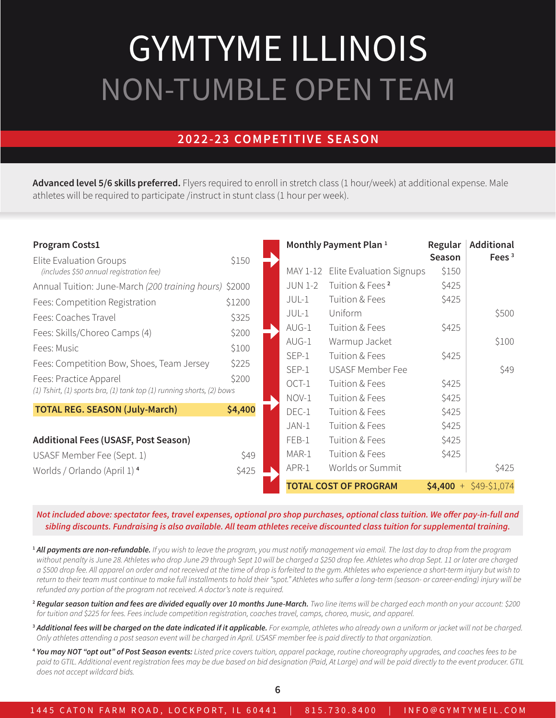## GYMTYME ILLINOIS NON-TUMBLE OPEN TEAM

## 2022-23 COMPETITIVE SEASON

Advanced level 5/6 skills preferred. Flyers required to enroll in stretch class (1 hour/week) at additional expense. Male athletes will be required to participate /instruct in stunt class (1 hour per week).

| <b>Program Costs1</b>                                                 |         |                | Monthly Payment Plan <sup>1</sup> | Regular        | <b>Additional</b> |
|-----------------------------------------------------------------------|---------|----------------|-----------------------------------|----------------|-------------------|
| Elite Evaluation Groups                                               | \$150   |                |                                   | Season         | Fees $3$          |
| (includes \$50 annual registration fee)                               |         |                | MAY 1-12 Elite Evaluation Signups | \$150          |                   |
| Annual Tuition: June-March (200 training hours) \$2000                |         | <b>JUN 1-2</b> | Tuition & Fees <sup>2</sup>       | \$425          |                   |
| Fees: Competition Registration                                        | \$1200  | JUL-1          | Tuition & Fees                    | \$425          |                   |
| Fees: Coaches Travel                                                  | \$325   | JUL-1          | Uniform                           |                | \$500             |
| Fees: Skills/Choreo Camps (4)                                         | \$200   | AUG-1          | Tuition & Fees                    | \$425          |                   |
| Fees: Music                                                           | \$100   | $AUG-1$        | Warmup Jacket                     |                | \$100             |
|                                                                       |         | SEP-1          | Tuition & Fees                    | \$425          |                   |
| Fees: Competition Bow, Shoes, Team Jersey                             | \$225   | SEP-1          | USASF Member Fee                  |                | \$49              |
| Fees: Practice Apparel                                                | \$200   | OCT-1          | Tuition & Fees                    | \$425          |                   |
| (1) Tshirt, (1) sports bra, (1) tank top (1) running shorts, (2) bows |         | NOV-1          | Tuition & Fees                    | \$425          |                   |
| <b>TOTAL REG. SEASON (July-March)</b>                                 | \$4,400 | DEC-1          | Tuition & Fees                    | \$425          |                   |
|                                                                       |         | JAN-1          | Tuition & Fees                    | \$425          |                   |
| <b>Additional Fees (USASF, Post Season)</b>                           |         | FEB-1          | Tuition & Fees                    | \$425          |                   |
| USASF Member Fee (Sept. 1)                                            | \$49    | MAR-1          | Tuition & Fees                    | \$425          |                   |
| Worlds / Orlando (April 1) <sup>4</sup>                               | \$425   | APR-1          | Worlds or Summit                  |                | \$425             |
|                                                                       |         |                | <b>TOTAL COST OF PROGRAM</b>      | \$4,400<br>$+$ | \$49-\$1,074      |

*Not included above: spectator fees, travel expenses, optional pro shop purchases, optional class tuition. We offer pay-in-full and sibling discounts. Fundraising is also available. All team athletes receive discounted class tuition for supplemental training.*

<sup>1</sup> *All payments are non-refundable. If you wish to leave the program, you must notify management via email. The last day to drop from the program without penalty is June 28. Athletes who drop June 29 through Sept 10 will be charged a \$250 drop fee. Athletes who drop Sept. 11 or later are charged a \$500 drop fee. All apparel on order and not received at the time of drop is forfeited to the gym. Athletes who experience a short-term injury but wish to return to their team must continue to make full installments to hold their "spot." Athletes who suffer a long-term (season- or career-ending) injury will be refunded any portion of the program not received. A doctor's note is required.*

<sup>2</sup> *Regular season tuition and fees are divided equally over 10 months June-March. Two line items will be charged each month on your account: \$200 for tuition and \$225 for fees. Fees include competition registration, coaches travel, camps, choreo, music, and apparel.*

<sup>3</sup> Additional fees will be charged on the date indicated if it applicable. For example, athletes who already own a uniform or jacket will not be charged. *Only athletes attending a post season event will be charged in April. USASF member fee is paid directly to that organization.*

<sup>4</sup> *You may NOT "opt out" of Post Season events: Listed price covers tuition, apparel package, routine choreography upgrades, and coaches fees to be*  paid to GTIL. Additional event registration fees may be due based on bid designation (Paid, At Large) and will be paid directly to the event producer. GTIL *does not accept wildcard bids.*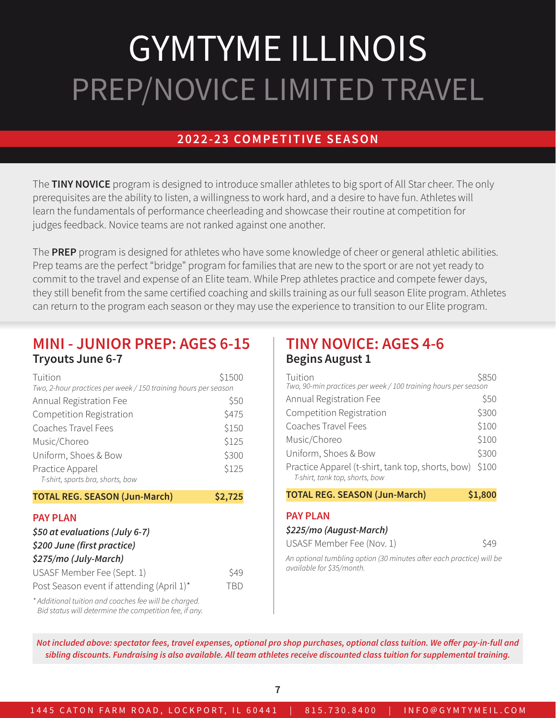## GYMTYME ILLINOIS PREP/NOVICE LIMITED TRAVEL

### 2022-23 COMPETITIVE SEASON

The TINY NOVICE program is designed to introduce smaller athletes to big sport of All Star cheer. The only prerequisites are the ability to listen, a willingness to work hard, and a desire to have fun. Athletes will learn the fundamentals of performance cheerleading and showcase their routine at competition for judges feedback. Novice teams are not ranked against one another.

The PREP program is designed for athletes who have some knowledge of cheer or general athletic abilities. Prep teams are the perfect "bridge" program for families that are new to the sport or are not yet ready to commit to the travel and expense of an Elite team. While Prep athletes practice and compete fewer days, they still benefit from the same certified coaching and skills training as our full season Elite program. Athletes can return to the program each season or they may use the experience to transition to our Elite program.

### MINI - JUNIOR PREP: AGES 6-15 Tryouts June 6-7

| Tuition<br>Two, 2-hour practices per week / 150 training hours per season | \$1500 |
|---------------------------------------------------------------------------|--------|
| Annual Registration Fee                                                   | \$50   |
| Competition Registration                                                  | \$475  |
| Coaches Travel Fees                                                       | \$150  |
| Music/Choreo                                                              | \$125  |
| Uniform, Shoes & Bow                                                      | \$300  |
| Practice Apparel<br>T-shirt, sports bra, shorts, bow                      | \$125  |

#### TOTAL REG. SEASON (Jun-March) \$2,725

#### PAY PLAN

| \$50 at evaluations (July 6-7)            |      |  |  |  |
|-------------------------------------------|------|--|--|--|
| \$200 June (first practice)               |      |  |  |  |
| \$275/mo (July-March)                     |      |  |  |  |
| USASF Member Fee (Sept. 1)                | \$49 |  |  |  |
| Post Season event if attending (April 1)* | TBD. |  |  |  |
|                                           |      |  |  |  |

*\* Additional tuition and coaches fee will be charged. Bid status will determine the competition fee, if any.*

### TINY NOVICE: AGES 4-6 Begins August 1

| Tuition<br>Two, 90-min practices per week / 100 training hours per season           | \$850   |
|-------------------------------------------------------------------------------------|---------|
| Annual Registration Fee                                                             | \$50    |
| Competition Registration                                                            | \$300   |
| Coaches Travel Fees                                                                 | \$100   |
| Music/Choreo                                                                        | \$100   |
| Uniform, Shoes & Bow                                                                | \$300   |
| Practice Apparel (t-shirt, tank top, shorts, bow)<br>T-shirt, tank top, shorts, bow | \$100   |
| <b>TOTAL REG. SEASON (Jun-March)</b>                                                | \$1,800 |
| <b>PAY PLAN</b>                                                                     |         |
| \$225/mo (August-March)                                                             |         |
| USASF Member Fee (Nov. 1)                                                           |         |

*An optional tumbling option (30 minutes after each practice) will be available for \$35/month.*

*Not included above: spectator fees, travel expenses, optional pro shop purchases, optional class tuition. We offer pay-in-full and sibling discounts. Fundraising is also available. All team athletes receive discounted class tuition for supplemental training.*

7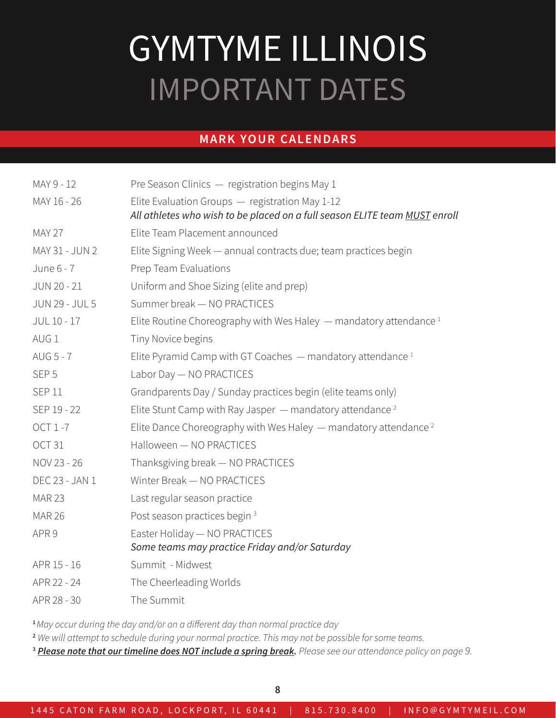## GYMTYME ILLINOIS IMPORTANT DATES

### MARK YOUR CALENDARS

| MAY 9 - 12            | Pre Season Clinics - registration begins May 1                                                                                |
|-----------------------|-------------------------------------------------------------------------------------------------------------------------------|
| MAY 16 - 26           | Elite Evaluation Groups - registration May 1-12<br>All athletes who wish to be placed on a full season ELITE team MUST enroll |
| <b>MAY 27</b>         | Elite Team Placement announced                                                                                                |
| MAY 31 - JUN 2        | Elite Signing Week - annual contracts due; team practices begin                                                               |
| June 6 - 7            | Prep Team Evaluations                                                                                                         |
| JUN 20 - 21           | Uniform and Shoe Sizing (elite and prep)                                                                                      |
| <b>JUN 29 - JUL 5</b> | Summer break - NO PRACTICES                                                                                                   |
| JUL 10 - 17           | Elite Routine Choreography with Wes Haley $-$ mandatory attendance $1$                                                        |
| AUG <sub>1</sub>      | Tiny Novice begins                                                                                                            |
| AUG 5 - 7             | Elite Pyramid Camp with GT Coaches $-$ mandatory attendance $1$                                                               |
| SEP <sub>5</sub>      | Labor Day - NO PRACTICES                                                                                                      |
| <b>SEP 11</b>         | Grandparents Day / Sunday practices begin (elite teams only)                                                                  |
| SEP 19 - 22           | Elite Stunt Camp with Ray Jasper $-$ mandatory attendance <sup>2</sup>                                                        |
| <b>OCT 1-7</b>        | Elite Dance Choreography with Wes Haley — mandatory attendance <sup>2</sup>                                                   |
| OCT <sub>31</sub>     | Halloween - NO PRACTICES                                                                                                      |
| NOV 23 - 26           | Thanksgiving break - NO PRACTICES                                                                                             |
| DEC 23 - JAN 1        | Winter Break - NO PRACTICES                                                                                                   |
| <b>MAR 23</b>         | Last regular season practice                                                                                                  |
| <b>MAR 26</b>         | Post season practices begin <sup>3</sup>                                                                                      |
| APR <sub>9</sub>      | Easter Holiday - NO PRACTICES                                                                                                 |
|                       | Some teams may practice Friday and/or Saturday                                                                                |
| APR 15 - 16           | Summit - Midwest                                                                                                              |
| APR 22 - 24           | The Cheerleading Worlds                                                                                                       |
| APR 28 - 30           | The Summit                                                                                                                    |

<sup>1</sup>*May occur during the day and/or on a different day than normal practice day*

<sup>2</sup> *We will attempt to schedule during your normal practice. This may not be possible for some teams.*

<sup>3</sup> *Please note that our timeline does NOT include a spring break. Please see our attendance policy on page 9.*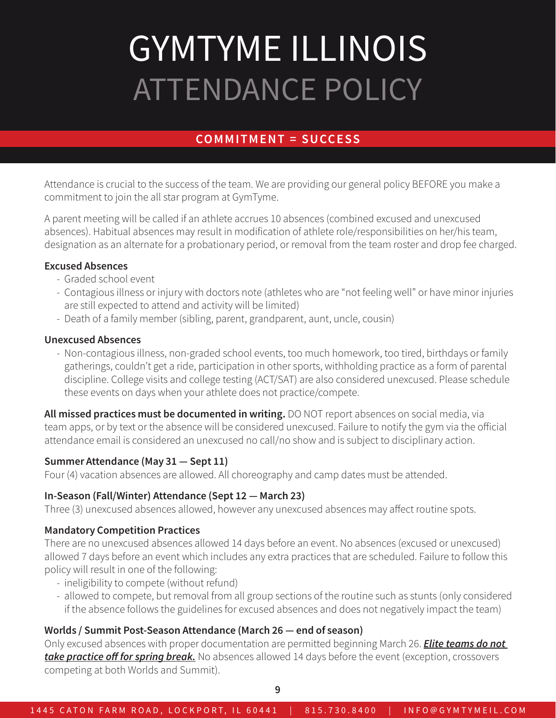# GYMTYME ILLINOIS ATTENDANCE POLICY

## COMMITMENT = SUCCESS

Attendance is crucial to the success of the team. We are providing our general policy BEFORE you make a commitment to join the all star program at GymTyme.

A parent meeting will be called if an athlete accrues 10 absences (combined excused and unexcused absences). Habitual absences may result in modification of athlete role/responsibilities on her/his team, designation as an alternate for a probationary period, or removal from the team roster and drop fee charged.

#### Excused Absences

- Graded school event
- Contagious illness or injury with doctors note (athletes who are "not feeling well" or have minor injuries are still expected to attend and activity will be limited)
- Death of a family member (sibling, parent, grandparent, aunt, uncle, cousin)

#### Unexcused Absences

- Non-contagious illness, non-graded school events, too much homework, too tired, birthdays or family gatherings, couldn't get a ride, participation in other sports, withholding practice as a form of parental discipline. College visits and college testing (ACT/SAT) are also considered unexcused. Please schedule these events on days when your athlete does not practice/compete.

All missed practices must be documented in writing. DO NOT report absences on social media, via team apps, or by text or the absence will be considered unexcused. Failure to notify the gym via the official attendance email is considered an unexcused no call/no show and is subject to disciplinary action.

#### Summer Attendance (May 31 — Sept 11)

Four (4) vacation absences are allowed. All choreography and camp dates must be attended.

#### In-Season (Fall/Winter) Attendance (Sept 12 — March 23)

Three (3) unexcused absences allowed, however any unexcused absences may affect routine spots.

#### Mandatory Competition Practices

There are no unexcused absences allowed 14 days before an event. No absences (excused or unexcused) allowed 7 days before an event which includes any extra practices that are scheduled. Failure to follow this policy will result in one of the following:

- ineligibility to compete (without refund)
- allowed to compete, but removal from all group sections of the routine such as stunts (only considered if the absence follows the guidelines for excused absences and does not negatively impact the team)

#### Worlds / Summit Post-Season Attendance (March 26 — end of season)

Only excused absences with proper documentation are permitted beginning March 26. *Elite teams do not take practice off for spring break.* No absences allowed 14 days before the event (exception, crossovers competing at both Worlds and Summit).